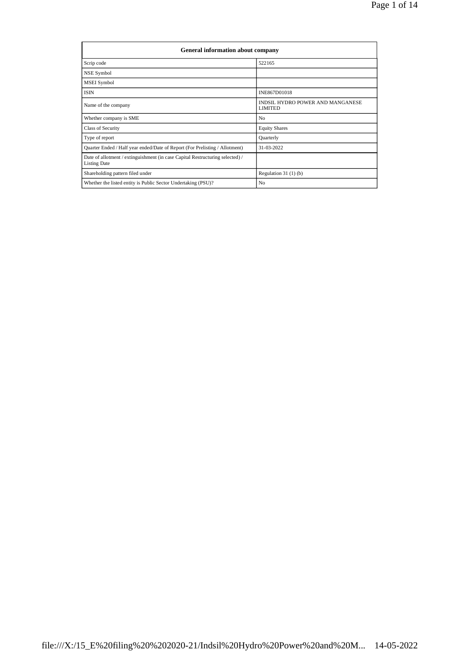| General information about company                                                                    |                                                    |  |  |  |  |  |  |
|------------------------------------------------------------------------------------------------------|----------------------------------------------------|--|--|--|--|--|--|
| Scrip code                                                                                           | 522165                                             |  |  |  |  |  |  |
| NSE Symbol                                                                                           |                                                    |  |  |  |  |  |  |
| MSEI Symbol                                                                                          |                                                    |  |  |  |  |  |  |
| <b>ISIN</b>                                                                                          | INE867D01018                                       |  |  |  |  |  |  |
| Name of the company                                                                                  | INDSIL HYDRO POWER AND MANGANESE<br><b>LIMITED</b> |  |  |  |  |  |  |
| Whether company is SME                                                                               | N <sub>0</sub>                                     |  |  |  |  |  |  |
| Class of Security                                                                                    | <b>Equity Shares</b>                               |  |  |  |  |  |  |
| Type of report                                                                                       | Quarterly                                          |  |  |  |  |  |  |
| Quarter Ended / Half year ended/Date of Report (For Prelisting / Allotment)                          | 31-03-2022                                         |  |  |  |  |  |  |
| Date of allotment / extinguishment (in case Capital Restructuring selected) /<br><b>Listing Date</b> |                                                    |  |  |  |  |  |  |
| Shareholding pattern filed under                                                                     | Regulation $31(1)(b)$                              |  |  |  |  |  |  |
| Whether the listed entity is Public Sector Undertaking (PSU)?                                        | N <sub>0</sub>                                     |  |  |  |  |  |  |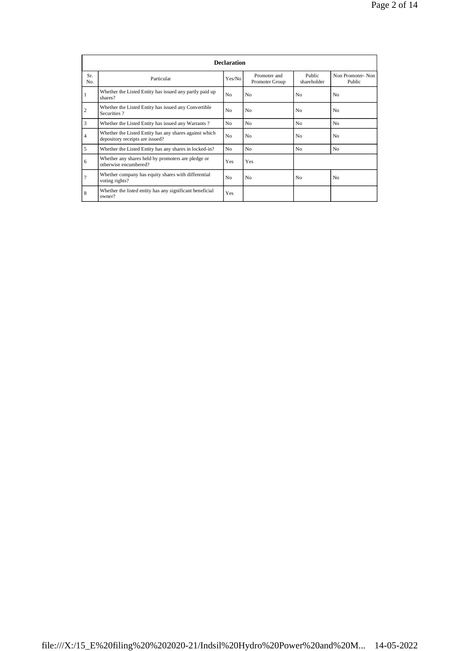|            | <b>Declaration</b>                                                                        |                |                                |                       |                            |  |  |  |  |  |
|------------|-------------------------------------------------------------------------------------------|----------------|--------------------------------|-----------------------|----------------------------|--|--|--|--|--|
| Sr.<br>No. | Particular                                                                                | Yes/No         | Promoter and<br>Promoter Group | Public<br>shareholder | Non Promoter-Non<br>Public |  |  |  |  |  |
| 1          | Whether the Listed Entity has issued any partly paid up<br>shares?                        | No             | N <sub>0</sub>                 | N <sub>0</sub>        | N <sub>0</sub>             |  |  |  |  |  |
| 2          | Whether the Listed Entity has issued any Convertible<br>Securities?                       | No             | N <sub>0</sub>                 | N <sub>0</sub>        | N <sub>0</sub>             |  |  |  |  |  |
| 3          | Whether the Listed Entity has issued any Warrants?                                        | N <sub>0</sub> | N <sub>0</sub>                 | N <sub>0</sub>        | N <sub>0</sub>             |  |  |  |  |  |
| 4          | Whether the Listed Entity has any shares against which<br>depository receipts are issued? | No             | N <sub>0</sub>                 | N <sub>0</sub>        | N <sub>0</sub>             |  |  |  |  |  |
| 5          | Whether the Listed Entity has any shares in locked-in?                                    | No.            | N <sub>0</sub>                 | No                    | N <sub>0</sub>             |  |  |  |  |  |
| 6          | Whether any shares held by promoters are pledge or<br>otherwise encumbered?               | Yes            | Yes                            |                       |                            |  |  |  |  |  |
| 7          | Whether company has equity shares with differential<br>voting rights?                     | No             | N <sub>0</sub>                 | N <sub>0</sub>        | N <sub>0</sub>             |  |  |  |  |  |
| 8          | Whether the listed entity has any significant beneficial<br>owner?                        | Yes            |                                |                       |                            |  |  |  |  |  |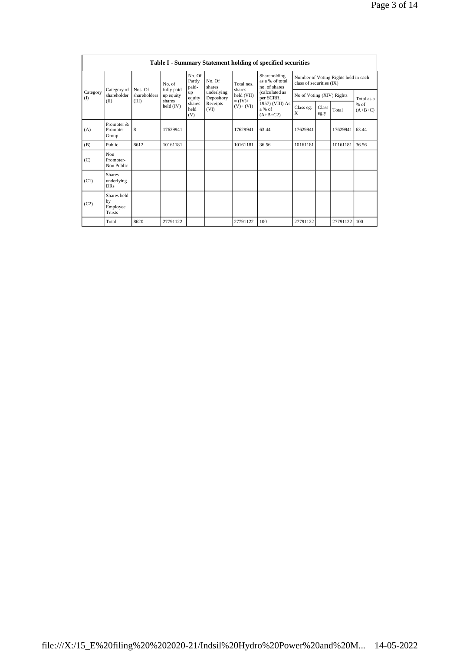|                 | Table I - Summary Statement holding of specified securities |                         |                         |                           |                          |                                                      |                                                                        |                                                                  |               |          |                     |
|-----------------|-------------------------------------------------------------|-------------------------|-------------------------|---------------------------|--------------------------|------------------------------------------------------|------------------------------------------------------------------------|------------------------------------------------------------------|---------------|----------|---------------------|
| Category<br>(1) |                                                             |                         | No. of                  | No. Of<br>Partly<br>paid- | No. Of<br>shares         | Total nos.                                           | Shareholding<br>as a % of total<br>no. of shares                       | Number of Voting Rights held in each<br>class of securities (IX) |               |          |                     |
|                 | Category of<br>shareholder                                  | Nos. Of<br>shareholders | fully paid<br>up equity | up<br>equity              | underlying<br>Depository | shares<br>held (VII)<br>$= (IV) +$<br>$(V)$ + $(VI)$ | (calculated as<br>per SCRR,<br>1957) (VIII) As<br>a % of<br>$(A+B+C2)$ | No of Voting (XIV) Rights                                        |               |          | Total as a          |
|                 | (II)                                                        | (III)                   | shares<br>held (IV)     | shares<br>held<br>(V)     | Receipts<br>(VI)         |                                                      |                                                                        | Class eg:<br>X                                                   | Class<br>eg:y | Total    | $%$ of<br>$(A+B+C)$ |
| (A)             | Promoter &<br>Promoter<br>Group                             | 8                       | 17629941                |                           |                          | 17629941                                             | 63.44                                                                  | 17629941                                                         |               | 17629941 | 63.44               |
| (B)             | Public                                                      | 8612                    | 10161181                |                           |                          | 10161181                                             | 36.56                                                                  | 10161181                                                         |               | 10161181 | 36.56               |
| (C)             | Non<br>Promoter-<br>Non Public                              |                         |                         |                           |                          |                                                      |                                                                        |                                                                  |               |          |                     |
| (C1)            | <b>Shares</b><br>underlying<br><b>DRs</b>                   |                         |                         |                           |                          |                                                      |                                                                        |                                                                  |               |          |                     |
| (C2)            | Shares held<br>by<br>Employee<br>Trusts                     |                         |                         |                           |                          |                                                      |                                                                        |                                                                  |               |          |                     |
|                 | Total                                                       | 8620                    | 27791122                |                           |                          | 27791122                                             | 100                                                                    | 27791122                                                         |               | 27791122 | 100                 |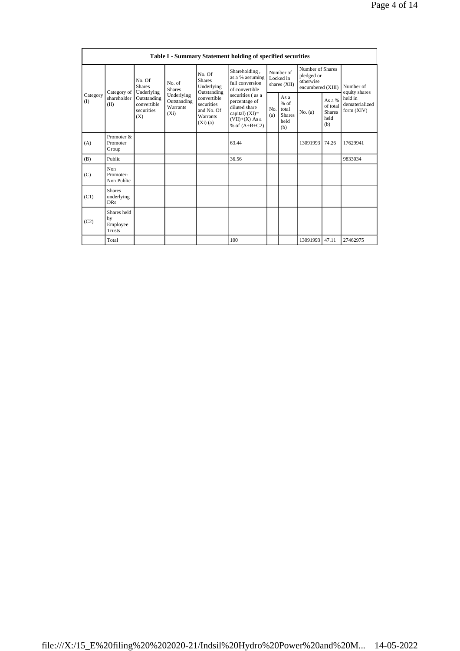| Table I - Summary Statement holding of specified securities |                                                |                                                 |                                                                                 |                                                                   |                                                                                                                |                                        |                                                         |                                                                  |                                                    |                                         |
|-------------------------------------------------------------|------------------------------------------------|-------------------------------------------------|---------------------------------------------------------------------------------|-------------------------------------------------------------------|----------------------------------------------------------------------------------------------------------------|----------------------------------------|---------------------------------------------------------|------------------------------------------------------------------|----------------------------------------------------|-----------------------------------------|
| Category<br>(I)                                             | Category of<br>shareholder<br>(II)             | No. Of<br><b>Shares</b><br>Underlying           | No. Of<br><b>Shares</b><br>No. of<br>Underlying<br><b>Shares</b><br>Outstanding |                                                                   | Shareholding,<br>as a % assuming<br>full conversion<br>of convertible                                          | Number of<br>Locked in<br>shares (XII) |                                                         | Number of Shares<br>pledged or<br>otherwise<br>encumbered (XIII) |                                                    | Number of<br>equity shares              |
|                                                             |                                                | Outstanding<br>convertible<br>securities<br>(X) | Underlying<br>Outstanding<br>Warrants<br>$(X_i)$                                | convertible<br>securities<br>and No. Of<br>Warrants<br>$(Xi)$ (a) | securities (as a<br>percentage of<br>diluted share<br>capital) $(XI)$ =<br>$(VII)+(X)$ As a<br>% of $(A+B+C2)$ | No.<br>(a)                             | As a<br>$%$ of<br>total<br><b>Shares</b><br>held<br>(b) | No. $(a)$                                                        | As a %<br>of total<br><b>Shares</b><br>held<br>(b) | held in<br>dematerialized<br>form (XIV) |
| (A)                                                         | Promoter &<br>Promoter<br>Group                |                                                 |                                                                                 |                                                                   | 63.44                                                                                                          |                                        |                                                         | 13091993                                                         | 74.26                                              | 17629941                                |
| (B)                                                         | Public                                         |                                                 |                                                                                 |                                                                   | 36.56                                                                                                          |                                        |                                                         |                                                                  |                                                    | 9833034                                 |
| (C)                                                         | Non<br>Promoter-<br>Non Public                 |                                                 |                                                                                 |                                                                   |                                                                                                                |                                        |                                                         |                                                                  |                                                    |                                         |
| (C1)                                                        | <b>Shares</b><br>underlying<br><b>DRs</b>      |                                                 |                                                                                 |                                                                   |                                                                                                                |                                        |                                                         |                                                                  |                                                    |                                         |
| (C2)                                                        | Shares held<br>by<br>Employee<br><b>Trusts</b> |                                                 |                                                                                 |                                                                   |                                                                                                                |                                        |                                                         |                                                                  |                                                    |                                         |
|                                                             | Total                                          |                                                 |                                                                                 |                                                                   | 100                                                                                                            |                                        |                                                         | 13091993                                                         | 47.11                                              | 27462975                                |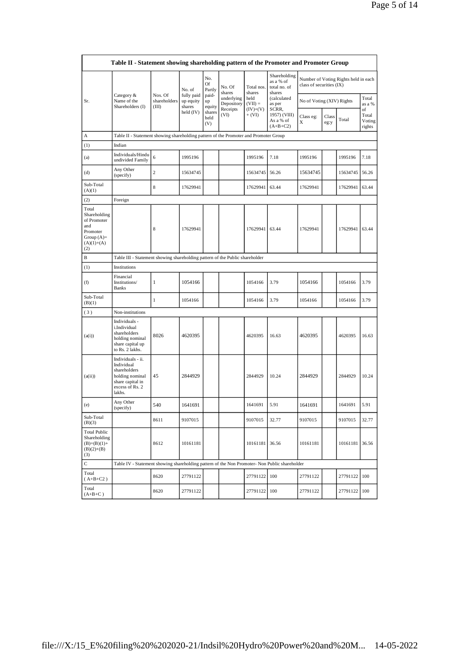|                                                                                                | Table II - Statement showing shareholding pattern of the Promoter and Promoter Group                                |                                                                              |                                   |                       |                          |                        |                                                     |                           |               |                                      |                                 |
|------------------------------------------------------------------------------------------------|---------------------------------------------------------------------------------------------------------------------|------------------------------------------------------------------------------|-----------------------------------|-----------------------|--------------------------|------------------------|-----------------------------------------------------|---------------------------|---------------|--------------------------------------|---------------------------------|
|                                                                                                |                                                                                                                     |                                                                              | No. of                            | No.<br>Of<br>Partly   | No. Of<br>shares         | Total nos.<br>shares   | Shareholding<br>as a % of<br>total no. of<br>shares | class of securities (IX)  |               | Number of Voting Rights held in each |                                 |
| Sr.                                                                                            | Category &<br>Name of the<br>Shareholders (I)                                                                       | Nos. Of<br>shareholders<br>(III)                                             | fully paid<br>up equity<br>shares | paid-<br>up<br>equity | underlying<br>Depository | held<br>$(VII) =$      | (calculated<br>as per                               | No of Voting (XIV) Rights |               |                                      | Total<br>as a %                 |
|                                                                                                |                                                                                                                     |                                                                              | held (IV)                         | shares<br>held<br>(V) | Receipts<br>(VI)         | $(IV)+(V)$<br>$+ (VI)$ | SCRR,<br>1957) (VIII)<br>As a % of<br>$(A+B+C2)$    | Class eg:<br>X            | Class<br>eg:y | Total                                | of<br>Total<br>Voting<br>rights |
| А                                                                                              | Table II - Statement showing shareholding pattern of the Promoter and Promoter Group                                |                                                                              |                                   |                       |                          |                        |                                                     |                           |               |                                      |                                 |
| (1)                                                                                            | Indian                                                                                                              |                                                                              |                                   |                       |                          |                        |                                                     |                           |               |                                      |                                 |
| (a)                                                                                            | Individuals/Hindu<br>undivided Family                                                                               | 6                                                                            | 1995196                           |                       |                          | 1995196                | 7.18                                                | 1995196                   |               | 1995196                              | 7.18                            |
| (d)                                                                                            | Any Other<br>(specify)                                                                                              | $\overline{c}$                                                               | 15634745                          |                       |                          | 15634745               | 56.26                                               | 15634745                  |               | 15634745                             | 56.26                           |
| Sub-Total<br>(A)(1)                                                                            |                                                                                                                     | $\,$ 8 $\,$                                                                  | 17629941                          |                       |                          | 17629941               | 63.44                                               | 17629941                  |               | 17629941                             | 63.44                           |
| (2)                                                                                            | Foreign                                                                                                             |                                                                              |                                   |                       |                          |                        |                                                     |                           |               |                                      |                                 |
| Total<br>Shareholding<br>of Promoter<br>and<br>Promoter<br>Group $(A)=$<br>$(A)(1)+(A)$<br>(2) |                                                                                                                     | 8                                                                            | 17629941                          |                       |                          | 17629941               | 63.44                                               | 17629941                  |               | 17629941                             | 63.44                           |
| В                                                                                              |                                                                                                                     | Table III - Statement showing shareholding pattern of the Public shareholder |                                   |                       |                          |                        |                                                     |                           |               |                                      |                                 |
| (1)                                                                                            | Institutions                                                                                                        |                                                                              |                                   |                       |                          |                        |                                                     |                           |               |                                      |                                 |
| (f)                                                                                            | Financial<br>Institutions/<br><b>Banks</b>                                                                          | $\mathbf{1}$                                                                 | 1054166                           |                       |                          | 1054166                | 3.79                                                | 1054166                   |               | 1054166                              | 3.79                            |
| Sub-Total<br>(B)(1)                                                                            |                                                                                                                     | 1                                                                            | 1054166                           |                       |                          | 1054166                | 3.79                                                | 1054166                   |               | 1054166                              | 3.79                            |
| (3)                                                                                            | Non-institutions                                                                                                    |                                                                              |                                   |                       |                          |                        |                                                     |                           |               |                                      |                                 |
| (a(i))                                                                                         | Individuals -<br>i.Individual<br>shareholders<br>holding nominal<br>share capital up<br>to Rs. 2 lakhs.             | 8026                                                                         | 4620395                           |                       |                          | 4620395                | 16.63                                               | 4620395                   |               | 4620395                              | 16.63                           |
| (a(ii))                                                                                        | Individuals - ii.<br>Individual<br>shareholders<br>holding nominal<br>share capital in<br>excess of Rs. 2<br>lakhs. | 45                                                                           | 2844929                           |                       |                          | 2844929                | 10.24                                               | 2844929                   |               | 2844929                              | 10.24                           |
| (e)                                                                                            | Any Other<br>(specify)                                                                                              | 540                                                                          | 1641691                           |                       |                          | 1641691                | 5.91                                                | 1641691                   |               | 1641691                              | 5.91                            |
| Sub-Total<br>(B)(3)                                                                            |                                                                                                                     | 8611                                                                         | 9107015                           |                       |                          | 9107015                | 32.77                                               | 9107015                   |               | 9107015                              | 32.77                           |
| <b>Total Public</b><br>Shareholding<br>$(B)=(B)(1)+$<br>$(B)(2)+(B)$<br>(3)                    |                                                                                                                     | 8612                                                                         | 10161181                          |                       |                          | 10161181               | 36.56                                               | 10161181                  |               | 10161181                             | 36.56                           |
| $\mathbf C$                                                                                    | Table IV - Statement showing shareholding pattern of the Non Promoter- Non Public shareholder                       |                                                                              |                                   |                       |                          |                        |                                                     |                           |               |                                      |                                 |
| Total<br>$(A+B+C2)$                                                                            |                                                                                                                     | 8620                                                                         | 27791122                          |                       |                          | 27791122               | 100                                                 | 27791122                  |               | 27791122                             | 100                             |
| Total<br>$(A+B+C)$                                                                             |                                                                                                                     | 8620                                                                         | 27791122                          |                       |                          | 27791122               | 100                                                 | 27791122                  |               | 27791122 100                         |                                 |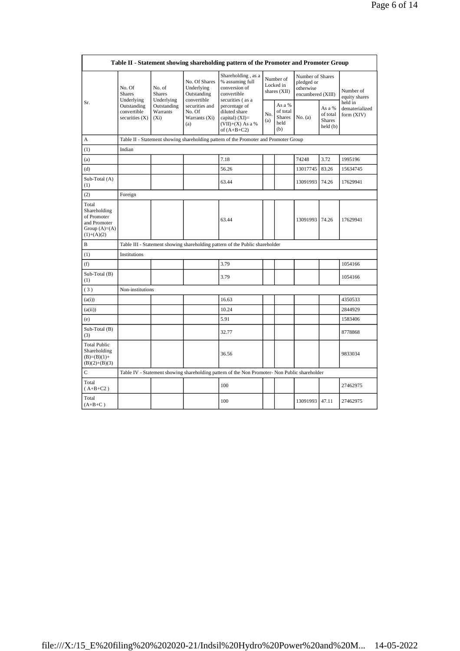|                                                                                         | Table II - Statement showing shareholding pattern of the Promoter and Promoter Group  |                                       |                                                           |                                                                                               |            |                                                    |                                                                  |                                                 |                                         |
|-----------------------------------------------------------------------------------------|---------------------------------------------------------------------------------------|---------------------------------------|-----------------------------------------------------------|-----------------------------------------------------------------------------------------------|------------|----------------------------------------------------|------------------------------------------------------------------|-------------------------------------------------|-----------------------------------------|
|                                                                                         | No. Of<br><b>Shares</b><br>Underlying<br>Outstanding<br>convertible<br>securities (X) | No. of<br><b>Shares</b><br>Underlying | No. Of Shares<br>Underlying<br>Outstanding<br>convertible | Shareholding, as a<br>% assuming full<br>conversion of<br>convertible<br>securities (as a     |            | Number of<br>Locked in<br>shares (XII)             | Number of Shares<br>pledged or<br>otherwise<br>encumbered (XIII) |                                                 | Number of<br>equity shares              |
| Sr.                                                                                     |                                                                                       | Outstanding<br>Warrants<br>$(X_i)$    | securities and<br>No. Of<br>Warrants (Xi)<br>(a)          | percentage of<br>diluted share<br>capital) $(XI)$ =<br>$(VII)+(X)$ As a %<br>of $(A+B+C2)$    | No.<br>(a) | As a %<br>of total<br><b>Shares</b><br>held<br>(b) | No. (a)                                                          | As a %<br>of total<br><b>Shares</b><br>held (b) | held in<br>dematerialized<br>form (XIV) |
| A                                                                                       |                                                                                       |                                       |                                                           | Table II - Statement showing shareholding pattern of the Promoter and Promoter Group          |            |                                                    |                                                                  |                                                 |                                         |
| (1)                                                                                     | Indian                                                                                |                                       |                                                           |                                                                                               |            |                                                    |                                                                  |                                                 |                                         |
| (a)                                                                                     |                                                                                       |                                       |                                                           | 7.18                                                                                          |            |                                                    | 74248                                                            | 3.72                                            | 1995196                                 |
| (d)                                                                                     |                                                                                       |                                       |                                                           | 56.26                                                                                         |            |                                                    | 13017745                                                         | 83.26                                           | 15634745                                |
| Sub-Total (A)<br>(1)                                                                    |                                                                                       |                                       |                                                           | 63.44                                                                                         |            |                                                    | 13091993                                                         | 74.26                                           | 17629941                                |
| (2)                                                                                     | Foreign                                                                               |                                       |                                                           |                                                                                               |            |                                                    |                                                                  |                                                 |                                         |
| Total<br>Shareholding<br>of Promoter<br>and Promoter<br>Group $(A)=(A)$<br>$(1)+(A)(2)$ |                                                                                       |                                       |                                                           | 63.44                                                                                         |            |                                                    | 13091993 74.26                                                   |                                                 | 17629941                                |
| B                                                                                       |                                                                                       |                                       |                                                           | Table III - Statement showing shareholding pattern of the Public shareholder                  |            |                                                    |                                                                  |                                                 |                                         |
| (1)                                                                                     | Institutions                                                                          |                                       |                                                           |                                                                                               |            |                                                    |                                                                  |                                                 |                                         |
| (f)                                                                                     |                                                                                       |                                       |                                                           | 3.79                                                                                          |            |                                                    |                                                                  |                                                 | 1054166                                 |
| Sub-Total (B)<br>(1)                                                                    |                                                                                       |                                       |                                                           | 3.79                                                                                          |            |                                                    |                                                                  |                                                 | 1054166                                 |
| (3)                                                                                     | Non-institutions                                                                      |                                       |                                                           |                                                                                               |            |                                                    |                                                                  |                                                 |                                         |
| (a(i))                                                                                  |                                                                                       |                                       |                                                           | 16.63                                                                                         |            |                                                    |                                                                  |                                                 | 4350533                                 |
| (a(ii))                                                                                 |                                                                                       |                                       |                                                           | 10.24                                                                                         |            |                                                    |                                                                  |                                                 | 2844929                                 |
| (e)                                                                                     |                                                                                       |                                       |                                                           | 5.91                                                                                          |            |                                                    |                                                                  |                                                 | 1583406                                 |
| Sub-Total (B)<br>(3)                                                                    |                                                                                       |                                       |                                                           | 32.77                                                                                         |            |                                                    |                                                                  |                                                 | 8778868                                 |
| <b>Total Public</b><br>Shareholding<br>$(B)=(B)(1)+$<br>$(B)(2)+(B)(3)$                 |                                                                                       |                                       |                                                           | 36.56                                                                                         |            |                                                    |                                                                  |                                                 | 9833034                                 |
| Ċ                                                                                       |                                                                                       |                                       |                                                           | Table IV - Statement showing shareholding pattern of the Non Promoter- Non Public shareholder |            |                                                    |                                                                  |                                                 |                                         |
| Total<br>$(A+B+C2)$                                                                     |                                                                                       |                                       |                                                           | 100                                                                                           |            |                                                    |                                                                  |                                                 | 27462975                                |
| Total<br>$(A+B+C)$                                                                      |                                                                                       |                                       |                                                           | 100                                                                                           |            |                                                    | 13091993 47.11                                                   |                                                 | 27462975                                |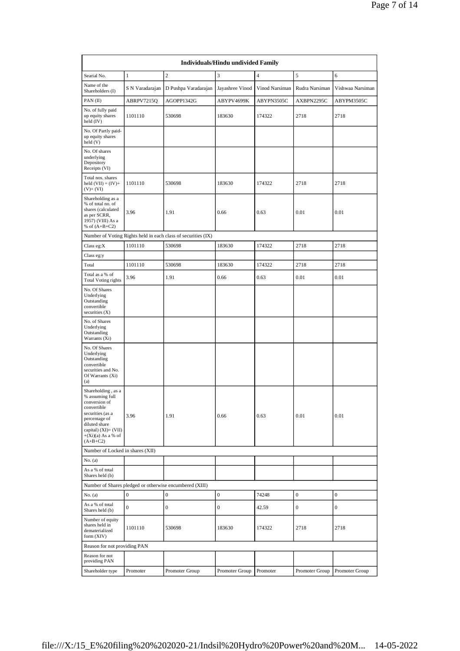|                                                                                                                                                                                              |                  |                                                               | Individuals/Hindu undivided Family |                |                  |                  |
|----------------------------------------------------------------------------------------------------------------------------------------------------------------------------------------------|------------------|---------------------------------------------------------------|------------------------------------|----------------|------------------|------------------|
| Searial No.                                                                                                                                                                                  | $\,1\,$          | $\overline{c}$                                                | 3                                  | $\overline{4}$ | 5                | 6                |
| Name of the<br>Shareholders (I)                                                                                                                                                              | S N Varadarajan  | D Pushpa Varadarajan                                          | Jayashree Vinod                    | Vinod Narsiman | Rudra Narsiman   | Vishwaa Narsiman |
| PAN(II)                                                                                                                                                                                      | ABRPV7215Q       | AGOPP1342G                                                    | ABYPV4699K                         | ABYPN3505C     | AXBPN2295C       | ABYPM3505C       |
| No. of fully paid<br>up equity shares<br>held (IV)                                                                                                                                           | 1101110          | 530698                                                        | 183630                             | 174322         | 2718             | 2718             |
| No. Of Partly paid-<br>up equity shares<br>held(V)                                                                                                                                           |                  |                                                               |                                    |                |                  |                  |
| No. Of shares<br>underlying<br>Depository<br>Receipts (VI)                                                                                                                                   |                  |                                                               |                                    |                |                  |                  |
| Total nos. shares<br>held $(VII) = (IV) +$<br>$(V)$ + $(VI)$                                                                                                                                 | 1101110          | 530698                                                        | 183630                             | 174322         | 2718             | 2718             |
| Shareholding as a<br>% of total no. of<br>shares (calculated<br>as per SCRR,<br>1957) (VIII) As a<br>% of $(A+B+C2)$                                                                         | 3.96             | 1.91                                                          | 0.66                               | 0.63           | 0.01             | 0.01             |
|                                                                                                                                                                                              |                  | Number of Voting Rights held in each class of securities (IX) |                                    |                |                  |                  |
| Class eg: $X$                                                                                                                                                                                | 1101110          | 530698                                                        | 183630                             | 174322         | 2718             | 2718             |
| Class eg:y                                                                                                                                                                                   |                  |                                                               |                                    |                |                  |                  |
| Total                                                                                                                                                                                        | 1101110          | 530698                                                        | 183630                             | 174322         | 2718             | 2718             |
| Total as a % of<br><b>Total Voting rights</b>                                                                                                                                                | 3.96             | 1.91                                                          | 0.66                               | 0.63           | 0.01             | 0.01             |
| No. Of Shares<br>Underlying<br>Outstanding<br>convertible<br>securities $(X)$                                                                                                                |                  |                                                               |                                    |                |                  |                  |
| No. of Shares<br>Underlying<br>Outstanding<br>Warrants (Xi)                                                                                                                                  |                  |                                                               |                                    |                |                  |                  |
| No. Of Shares<br>Underlying<br>Outstanding<br>convertible<br>securities and No.<br>Of Warrants (Xi)<br>(a)                                                                                   |                  |                                                               |                                    |                |                  |                  |
| Shareholding, as a<br>% assuming full<br>conversion of<br>convertible<br>securities (as a<br>percentage of<br>diluted share<br>capital) $(XI) = (VII)$<br>$+(Xi)(a)$ As a % of<br>$(A+B+C2)$ | 3.96             | 1.91                                                          | 0.66                               | 0.63           | 0.01             | 0.01             |
| Number of Locked in shares (XII)                                                                                                                                                             |                  |                                                               |                                    |                |                  |                  |
| No. (a)                                                                                                                                                                                      |                  |                                                               |                                    |                |                  |                  |
| As a % of total<br>Shares held (b)                                                                                                                                                           |                  |                                                               |                                    |                |                  |                  |
|                                                                                                                                                                                              |                  | Number of Shares pledged or otherwise encumbered (XIII)       |                                    |                |                  |                  |
| No. (a)                                                                                                                                                                                      | $\boldsymbol{0}$ | $\boldsymbol{0}$                                              | $\boldsymbol{0}$                   | 74248          | $\boldsymbol{0}$ | $\boldsymbol{0}$ |
| As a % of total<br>Shares held (b)                                                                                                                                                           | $\boldsymbol{0}$ | 0                                                             | $\boldsymbol{0}$                   | 42.59          | $\boldsymbol{0}$ | $\boldsymbol{0}$ |
| Number of equity<br>shares held in<br>dematerialized<br>form $(XIV)$                                                                                                                         | 1101110          | 530698                                                        | 183630                             | 174322         | 2718             | 2718             |
| Reason for not providing PAN                                                                                                                                                                 |                  |                                                               |                                    |                |                  |                  |
| Reason for not<br>providing PAN                                                                                                                                                              |                  |                                                               |                                    |                |                  |                  |
| Shareholder type                                                                                                                                                                             | Promoter         | Promoter Group                                                | Promoter Group                     | Promoter       | Promoter Group   | Promoter Group   |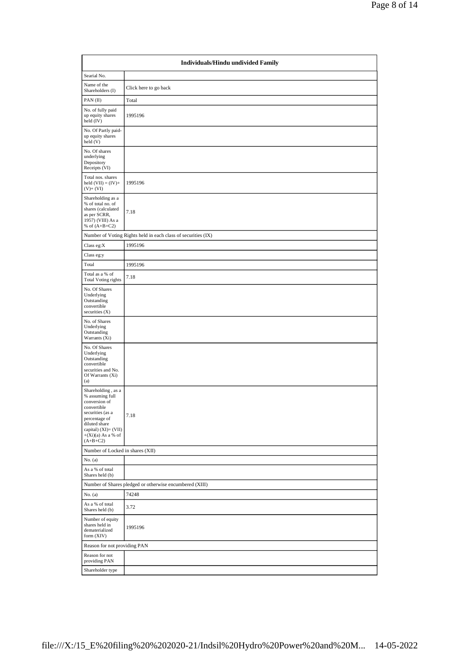|                                                                                                                                                                                           | Individuals/Hindu undivided Family                            |  |  |  |  |  |  |  |
|-------------------------------------------------------------------------------------------------------------------------------------------------------------------------------------------|---------------------------------------------------------------|--|--|--|--|--|--|--|
| Searial No.                                                                                                                                                                               |                                                               |  |  |  |  |  |  |  |
| Name of the<br>Shareholders (I)                                                                                                                                                           | Click here to go back                                         |  |  |  |  |  |  |  |
| PAN (II)                                                                                                                                                                                  | Total                                                         |  |  |  |  |  |  |  |
| No. of fully paid<br>up equity shares<br>held (IV)                                                                                                                                        | 1995196                                                       |  |  |  |  |  |  |  |
| No. Of Partly paid-<br>up equity shares<br>held(V)                                                                                                                                        |                                                               |  |  |  |  |  |  |  |
| No. Of shares<br>underlying<br>Depository<br>Receipts (VI)                                                                                                                                |                                                               |  |  |  |  |  |  |  |
| Total nos. shares<br>held $(VII) = (IV) +$<br>$(V)$ + $(VI)$                                                                                                                              | 1995196                                                       |  |  |  |  |  |  |  |
| Shareholding as a<br>% of total no. of<br>shares (calculated<br>as per SCRR,<br>1957) (VIII) As a<br>% of $(A+B+C2)$                                                                      | 7.18                                                          |  |  |  |  |  |  |  |
|                                                                                                                                                                                           | Number of Voting Rights held in each class of securities (IX) |  |  |  |  |  |  |  |
| Class eg:X                                                                                                                                                                                | 1995196                                                       |  |  |  |  |  |  |  |
| Class eg:y                                                                                                                                                                                |                                                               |  |  |  |  |  |  |  |
| Total                                                                                                                                                                                     | 1995196                                                       |  |  |  |  |  |  |  |
| Total as a % of<br><b>Total Voting rights</b>                                                                                                                                             | 7.18                                                          |  |  |  |  |  |  |  |
| No. Of Shares<br>Underlying<br>Outstanding<br>convertible<br>securities $(X)$                                                                                                             |                                                               |  |  |  |  |  |  |  |
| No. of Shares<br>Underlying<br>Outstanding<br>Warrants (Xi)                                                                                                                               |                                                               |  |  |  |  |  |  |  |
| No. Of Shares<br>Underlying<br>Outstanding<br>convertible<br>securities and No.<br>Of Warrants (Xi)<br>(a)                                                                                |                                                               |  |  |  |  |  |  |  |
| Shareholding, as a<br>% assuming full<br>conversion of<br>convertible<br>securities (as a<br>percentage of<br>diluted share<br>capital) (XI)= (VII)<br>$+(Xi)(a)$ As a % of<br>$(A+B+C2)$ | 7.18                                                          |  |  |  |  |  |  |  |
| Number of Locked in shares (XII)                                                                                                                                                          |                                                               |  |  |  |  |  |  |  |
| No. (a)                                                                                                                                                                                   |                                                               |  |  |  |  |  |  |  |
| As a % of total<br>Shares held (b)                                                                                                                                                        |                                                               |  |  |  |  |  |  |  |
|                                                                                                                                                                                           | Number of Shares pledged or otherwise encumbered (XIII)       |  |  |  |  |  |  |  |
| No. (a)<br>As a % of total                                                                                                                                                                | 74248                                                         |  |  |  |  |  |  |  |
| Shares held (b)                                                                                                                                                                           | 3.72                                                          |  |  |  |  |  |  |  |
| Number of equity<br>shares held in<br>dematerialized<br>form (XIV)                                                                                                                        | 1995196                                                       |  |  |  |  |  |  |  |
| Reason for not providing PAN                                                                                                                                                              |                                                               |  |  |  |  |  |  |  |
| Reason for not<br>providing PAN                                                                                                                                                           |                                                               |  |  |  |  |  |  |  |
| Shareholder type                                                                                                                                                                          |                                                               |  |  |  |  |  |  |  |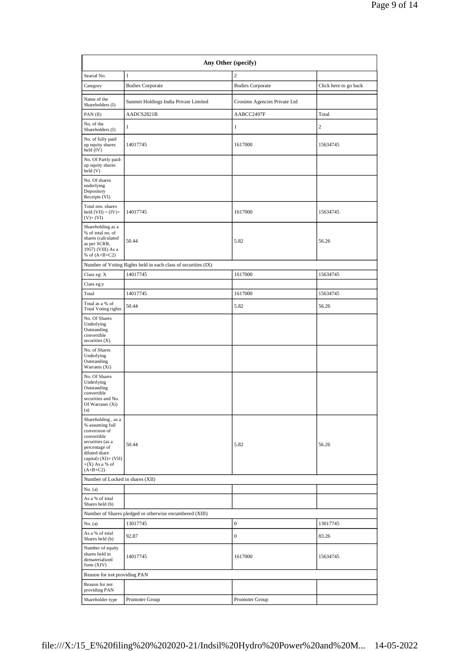| Any Other (specify)                                                                                                                                                                    |                                                               |                                      |                       |  |  |  |  |  |
|----------------------------------------------------------------------------------------------------------------------------------------------------------------------------------------|---------------------------------------------------------------|--------------------------------------|-----------------------|--|--|--|--|--|
| Searial No.                                                                                                                                                                            | $\,1\,$                                                       | $\overline{2}$                       |                       |  |  |  |  |  |
| Category                                                                                                                                                                               | <b>Bodies Corporate</b>                                       | <b>Bodies Corporate</b>              | Click here to go back |  |  |  |  |  |
| Name of the<br>Shareholders (I)                                                                                                                                                        | Sunmet Holdings India Private Limited                         | Crosimn Agencies Private Ltd         |                       |  |  |  |  |  |
| PAN $(II)$                                                                                                                                                                             | AADCS2821B                                                    | AABCC2497F                           | Total                 |  |  |  |  |  |
| No. of the<br>Shareholders (I)                                                                                                                                                         | $\mathbf{1}$                                                  | $\mathbf{1}$                         | 2                     |  |  |  |  |  |
| No. of fully paid<br>up equity shares<br>held $(IV)$                                                                                                                                   | 14017745                                                      | 1617000                              | 15634745              |  |  |  |  |  |
| No. Of Partly paid-<br>up equity shares<br>held(V)                                                                                                                                     |                                                               |                                      |                       |  |  |  |  |  |
| No. Of shares<br>underlying<br>Depository<br>Receipts (VI)                                                                                                                             |                                                               |                                      |                       |  |  |  |  |  |
| Total nos. shares<br>held $(VII) = (IV) +$<br>$(V)$ + $(VI)$                                                                                                                           | 14017745                                                      | 1617000                              | 15634745              |  |  |  |  |  |
| Shareholding as a<br>% of total no. of<br>shares (calculated<br>as per SCRR,<br>1957) (VIII) As a<br>% of $(A+B+C2)$                                                                   | 50.44                                                         | 5.82                                 | 56.26                 |  |  |  |  |  |
|                                                                                                                                                                                        | Number of Voting Rights held in each class of securities (IX) |                                      |                       |  |  |  |  |  |
| Class eg: X                                                                                                                                                                            | 14017745                                                      | 1617000                              | 15634745              |  |  |  |  |  |
| Class eg:y                                                                                                                                                                             |                                                               |                                      |                       |  |  |  |  |  |
| Total                                                                                                                                                                                  | 14017745                                                      | 1617000                              | 15634745              |  |  |  |  |  |
| Total as a % of<br><b>Total Voting rights</b>                                                                                                                                          | 50.44                                                         | 5.82                                 | 56.26                 |  |  |  |  |  |
| No. Of Shares<br>Underlying<br>Outstanding<br>convertible<br>securities $(X)$                                                                                                          |                                                               |                                      |                       |  |  |  |  |  |
| No. of Shares<br>Underlying<br>Outstanding<br>Warrants (Xi)                                                                                                                            |                                                               |                                      |                       |  |  |  |  |  |
| No. Of Shares<br>Underlying<br>Outstanding<br>convertible<br>securities and No.<br>Of Warrants (Xi)<br>(a)                                                                             |                                                               |                                      |                       |  |  |  |  |  |
| Shareholding, as a<br>% assuming full<br>conversion of<br>convertible<br>securities (as a<br>percentage of<br>diluted share<br>capital) $(XI)=(VII)$<br>$+(X)$ As a % of<br>$(A+B+C2)$ | 50.44                                                         | 5.82                                 | 56.26                 |  |  |  |  |  |
| Number of Locked in shares (XII)                                                                                                                                                       |                                                               |                                      |                       |  |  |  |  |  |
| No. (a)                                                                                                                                                                                |                                                               |                                      |                       |  |  |  |  |  |
| As a % of total<br>Shares held (b)                                                                                                                                                     |                                                               |                                      |                       |  |  |  |  |  |
|                                                                                                                                                                                        | Number of Shares pledged or otherwise encumbered (XIII)       |                                      |                       |  |  |  |  |  |
| No. (a)<br>As a % of total<br>Shares held (b)                                                                                                                                          | 13017745<br>92.87                                             | $\boldsymbol{0}$<br>$\boldsymbol{0}$ | 13017745<br>83.26     |  |  |  |  |  |
| Number of equity<br>shares held in<br>dematerialized<br>form (XIV)                                                                                                                     | 14017745                                                      | 1617000                              | 15634745              |  |  |  |  |  |
| Reason for not providing PAN                                                                                                                                                           |                                                               |                                      |                       |  |  |  |  |  |
| Reason for not<br>providing PAN                                                                                                                                                        |                                                               |                                      |                       |  |  |  |  |  |
| Shareholder type                                                                                                                                                                       | Promoter Group                                                | Promoter Group                       |                       |  |  |  |  |  |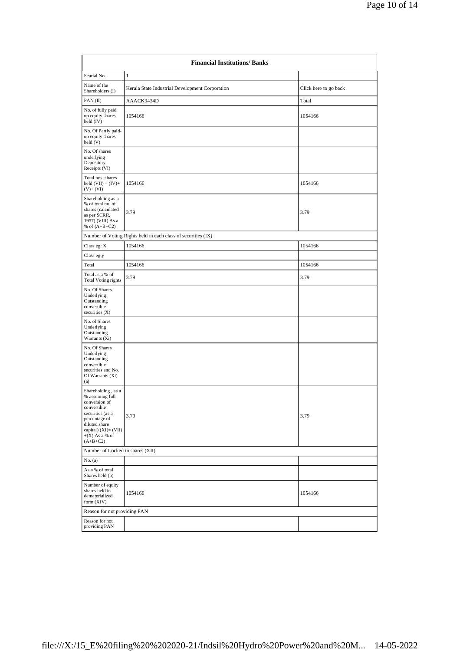|                                                                                                                                                                                       | <b>Financial Institutions/Banks</b>                           |                       |  |  |  |  |  |  |
|---------------------------------------------------------------------------------------------------------------------------------------------------------------------------------------|---------------------------------------------------------------|-----------------------|--|--|--|--|--|--|
| Searial No.                                                                                                                                                                           | $\mathbf{1}$                                                  |                       |  |  |  |  |  |  |
| Name of the<br>Shareholders (I)                                                                                                                                                       | Kerala State Industrial Development Corporation               | Click here to go back |  |  |  |  |  |  |
| PAN $(II)$                                                                                                                                                                            | AAACK9434D                                                    | Total                 |  |  |  |  |  |  |
| No. of fully paid<br>up equity shares<br>held (IV)                                                                                                                                    | 1054166                                                       | 1054166               |  |  |  |  |  |  |
| No. Of Partly paid-<br>up equity shares<br>held(V)                                                                                                                                    |                                                               |                       |  |  |  |  |  |  |
| No. Of shares<br>underlying<br>Depository<br>Receipts (VI)                                                                                                                            |                                                               |                       |  |  |  |  |  |  |
| Total nos. shares<br>held $(VII) = (IV) +$<br>$(V)$ + $(VI)$                                                                                                                          | 1054166                                                       | 1054166               |  |  |  |  |  |  |
| Shareholding as a<br>% of total no. of<br>shares (calculated<br>as per SCRR,<br>1957) (VIII) As a<br>% of $(A+B+C2)$                                                                  | 3.79                                                          | 3.79                  |  |  |  |  |  |  |
|                                                                                                                                                                                       | Number of Voting Rights held in each class of securities (IX) |                       |  |  |  |  |  |  |
| Class eg: X                                                                                                                                                                           | 1054166                                                       | 1054166               |  |  |  |  |  |  |
| Class eg:y                                                                                                                                                                            |                                                               |                       |  |  |  |  |  |  |
| Total                                                                                                                                                                                 | 1054166                                                       | 1054166               |  |  |  |  |  |  |
| Total as a % of<br><b>Total Voting rights</b>                                                                                                                                         | 3.79                                                          | 3.79                  |  |  |  |  |  |  |
| No. Of Shares<br>Underlying<br>Outstanding<br>convertible<br>securities $(X)$                                                                                                         |                                                               |                       |  |  |  |  |  |  |
| No. of Shares<br>Underlying<br>Outstanding<br>Warrants (Xi)                                                                                                                           |                                                               |                       |  |  |  |  |  |  |
| No. Of Shares<br>Underlying<br>Outstanding<br>convertible<br>securities and No.<br>Of Warrants (Xi)<br>(a)                                                                            |                                                               |                       |  |  |  |  |  |  |
| Shareholding, as a<br>% assuming full<br>conversion of<br>convertible<br>securities (as a<br>percentage of<br>diluted share<br>capital) (XI)= (VII)<br>$+(X)$ As a % of<br>$(A+B+C2)$ | 3.79                                                          | 3.79                  |  |  |  |  |  |  |
| Number of Locked in shares (XII)                                                                                                                                                      |                                                               |                       |  |  |  |  |  |  |
| No. (a)                                                                                                                                                                               |                                                               |                       |  |  |  |  |  |  |
| As a % of total<br>Shares held (b)                                                                                                                                                    |                                                               |                       |  |  |  |  |  |  |
| Number of equity<br>shares held in<br>dematerialized<br>form (XIV)                                                                                                                    | 1054166                                                       | 1054166               |  |  |  |  |  |  |
| Reason for not providing PAN                                                                                                                                                          |                                                               |                       |  |  |  |  |  |  |
| Reason for not<br>providing PAN                                                                                                                                                       |                                                               |                       |  |  |  |  |  |  |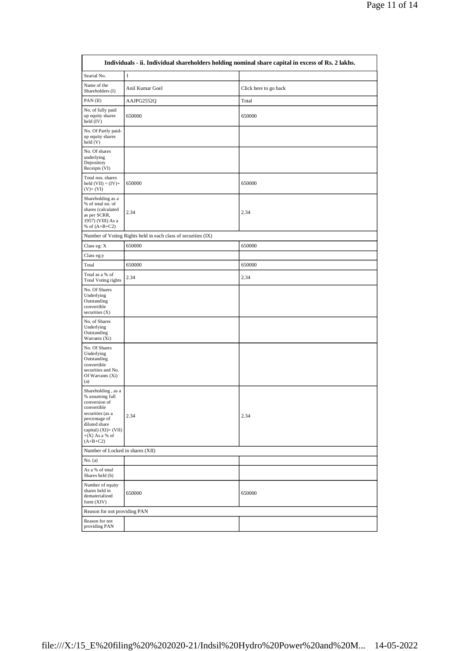|                                                                                                                                                                                       |                                                               | Individuals - ii. Individual shareholders holding nominal share capital in excess of Rs. 2 lakhs. |
|---------------------------------------------------------------------------------------------------------------------------------------------------------------------------------------|---------------------------------------------------------------|---------------------------------------------------------------------------------------------------|
| Searial No.                                                                                                                                                                           | $1\,$                                                         |                                                                                                   |
| Name of the<br>Shareholders (I)                                                                                                                                                       | Anil Kumar Goel                                               | Click here to go back                                                                             |
| PAN $(II)$                                                                                                                                                                            | AAJPG2552Q                                                    | Total                                                                                             |
| No. of fully paid<br>up equity shares<br>held $(IV)$                                                                                                                                  | 650000                                                        | 650000                                                                                            |
| No. Of Partly paid-<br>up equity shares<br>held (V)                                                                                                                                   |                                                               |                                                                                                   |
| No. Of shares<br>underlying<br>Depository<br>Receipts (VI)                                                                                                                            |                                                               |                                                                                                   |
| Total nos. shares<br>held $(VII) = (IV) +$<br>$(V)$ + $(VI)$                                                                                                                          | 650000                                                        | 650000                                                                                            |
| Shareholding as a<br>% of total no. of<br>shares (calculated<br>as per SCRR,<br>1957) (VIII) As a<br>% of $(A+B+C2)$                                                                  | 2.34                                                          | 2.34                                                                                              |
|                                                                                                                                                                                       | Number of Voting Rights held in each class of securities (IX) |                                                                                                   |
| Class eg: $\mathbf X$                                                                                                                                                                 | 650000                                                        | 650000                                                                                            |
| Class eg:y                                                                                                                                                                            |                                                               |                                                                                                   |
| Total                                                                                                                                                                                 | 650000                                                        | 650000                                                                                            |
| Total as a % of<br><b>Total Voting rights</b>                                                                                                                                         | 2.34                                                          | 2.34                                                                                              |
| No. Of Shares<br>Underlying<br>Outstanding<br>convertible<br>securities (X)                                                                                                           |                                                               |                                                                                                   |
| No. of Shares<br>Underlying<br>Outstanding<br>Warrants (Xi)                                                                                                                           |                                                               |                                                                                                   |
| No. Of Shares<br>Underlying<br>Outstanding<br>convertible<br>securities and No.<br>Of Warrants (Xi)<br>(a)                                                                            |                                                               |                                                                                                   |
| Shareholding, as a<br>% assuming full<br>conversion of<br>convertible<br>securities (as a<br>percentage of<br>diluted share<br>capital) (XI)= (VII)<br>$+(X)$ As a % of<br>$(A+B+C2)$ | 2.34                                                          | 2.34                                                                                              |
| Number of Locked in shares (XII)                                                                                                                                                      |                                                               |                                                                                                   |
| No. (a)                                                                                                                                                                               |                                                               |                                                                                                   |
| As a % of total<br>Shares held (b)                                                                                                                                                    |                                                               |                                                                                                   |
| Number of equity<br>shares held in<br>dematerialized<br>form (XIV)                                                                                                                    | 650000                                                        | 650000                                                                                            |
| Reason for not providing PAN                                                                                                                                                          |                                                               |                                                                                                   |
| Reason for not<br>providing PAN                                                                                                                                                       |                                                               |                                                                                                   |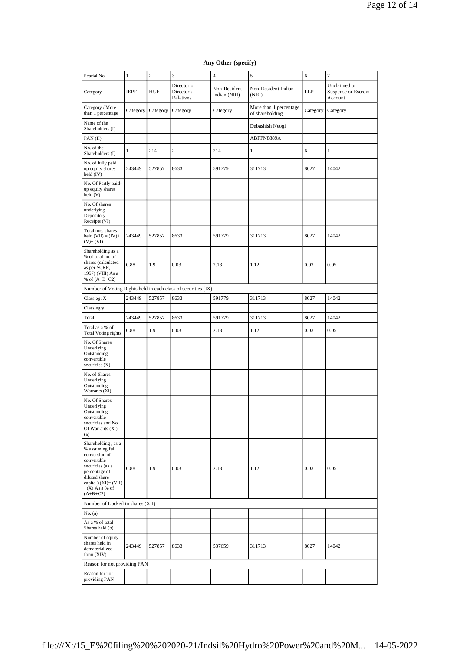|                                                                                                                                                                                        | Any Other (specify) |                |                                                               |                              |                                           |          |                                               |  |  |
|----------------------------------------------------------------------------------------------------------------------------------------------------------------------------------------|---------------------|----------------|---------------------------------------------------------------|------------------------------|-------------------------------------------|----------|-----------------------------------------------|--|--|
| Searial No.                                                                                                                                                                            | $\,1\,$             | $\overline{2}$ | 3                                                             | $\overline{4}$               | 5                                         | 6        | 7                                             |  |  |
| Category                                                                                                                                                                               | <b>IEPF</b>         | HUF            | Director or<br>Director's<br>Relatives                        | Non-Resident<br>Indian (NRI) | Non-Resident Indian<br>(NRI)              | LLP      | Unclaimed or<br>Suspense or Escrow<br>Account |  |  |
| Category / More<br>than 1 percentage                                                                                                                                                   | Category            | Category       | Category                                                      | Category                     | More than 1 percentage<br>of shareholding | Category | Category                                      |  |  |
| Name of the<br>Shareholders (I)                                                                                                                                                        |                     |                |                                                               |                              | Debashish Neogi                           |          |                                               |  |  |
| PAN(II)                                                                                                                                                                                |                     |                |                                                               |                              | ABFPN8889A                                |          |                                               |  |  |
| No. of the<br>Shareholders (I)                                                                                                                                                         | $\mathbf{1}$        | 214            | $\overline{c}$                                                | 214                          | 1                                         | 6        | $\mathbf{1}$                                  |  |  |
| No. of fully paid<br>up equity shares<br>held $(IV)$                                                                                                                                   | 243449              | 527857         | 8633                                                          | 591779                       | 311713                                    | 8027     | 14042                                         |  |  |
| No. Of Partly paid-<br>up equity shares<br>held (V)                                                                                                                                    |                     |                |                                                               |                              |                                           |          |                                               |  |  |
| No. Of shares<br>underlying<br>Depository<br>Receipts (VI)                                                                                                                             |                     |                |                                                               |                              |                                           |          |                                               |  |  |
| Total nos. shares<br>held $(VII) = (IV) +$<br>$(V)$ + $(VI)$                                                                                                                           | 243449              | 527857         | 8633                                                          | 591779                       | 311713                                    | 8027     | 14042                                         |  |  |
| Shareholding as a<br>% of total no. of<br>shares (calculated<br>as per SCRR,<br>1957) (VIII) As a<br>% of $(A+B+C2)$                                                                   | 0.88                | 1.9            | 0.03                                                          | 2.13                         | 1.12                                      | 0.03     | 0.05                                          |  |  |
|                                                                                                                                                                                        |                     |                | Number of Voting Rights held in each class of securities (IX) |                              |                                           |          |                                               |  |  |
| Class eg: X                                                                                                                                                                            | 243449              | 527857         | 8633                                                          | 591779                       | 311713                                    | 8027     | 14042                                         |  |  |
| Class eg:y                                                                                                                                                                             |                     |                |                                                               |                              |                                           |          |                                               |  |  |
| Total                                                                                                                                                                                  | 243449              | 527857         | 8633                                                          | 591779                       | 311713                                    | 8027     | 14042                                         |  |  |
| Total as a % of<br><b>Total Voting rights</b>                                                                                                                                          | 0.88                | 1.9            | 0.03                                                          | 2.13                         | 1.12                                      | 0.03     | 0.05                                          |  |  |
| No. Of Shares<br>Underlying<br>Outstanding<br>convertible<br>securities $(X)$                                                                                                          |                     |                |                                                               |                              |                                           |          |                                               |  |  |
| No. of Shares<br>Underlying<br>Outstanding<br>Warrants (Xi)                                                                                                                            |                     |                |                                                               |                              |                                           |          |                                               |  |  |
| No. Of Shares<br>Underlying<br>Outstanding<br>convertible<br>securities and No.<br>Of Warrants (Xi)<br>(a)                                                                             |                     |                |                                                               |                              |                                           |          |                                               |  |  |
| Shareholding, as a<br>% assuming full<br>conversion of<br>convertible<br>securities (as a<br>percentage of<br>diluted share<br>capital) $(XI)=(VII)$<br>$+(X)$ As a % of<br>$(A+B+C2)$ | 0.88                | 1.9            | 0.03                                                          | 2.13                         | 1.12                                      | 0.03     | 0.05                                          |  |  |
| Number of Locked in shares (XII)                                                                                                                                                       |                     |                |                                                               |                              |                                           |          |                                               |  |  |
| No. (a)                                                                                                                                                                                |                     |                |                                                               |                              |                                           |          |                                               |  |  |
| As a % of total<br>Shares held (b)                                                                                                                                                     |                     |                |                                                               |                              |                                           |          |                                               |  |  |
| Number of equity<br>shares held in<br>dematerialized<br>form (XIV)                                                                                                                     | 243449              | 527857         | 8633                                                          | 537659                       | 311713                                    | 8027     | 14042                                         |  |  |
| Reason for not providing PAN                                                                                                                                                           |                     |                |                                                               |                              |                                           |          |                                               |  |  |
| Reason for not<br>providing PAN                                                                                                                                                        |                     |                |                                                               |                              |                                           |          |                                               |  |  |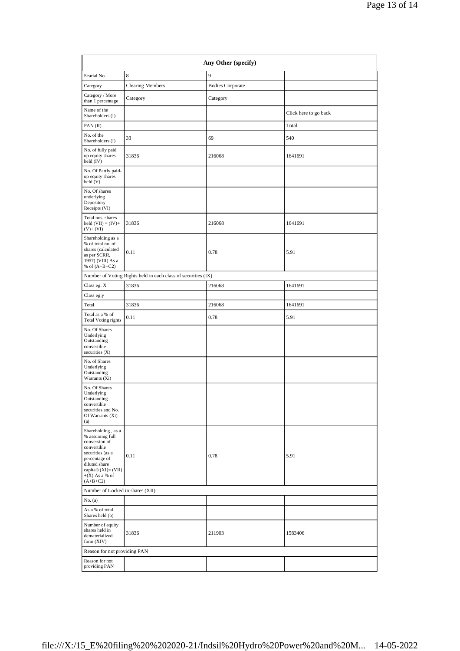| Any Other (specify)                                                                                                                                                                      |                                                               |                         |                       |  |  |  |  |  |  |  |
|------------------------------------------------------------------------------------------------------------------------------------------------------------------------------------------|---------------------------------------------------------------|-------------------------|-----------------------|--|--|--|--|--|--|--|
| Searial No.                                                                                                                                                                              | 8                                                             | 9                       |                       |  |  |  |  |  |  |  |
| Category                                                                                                                                                                                 | <b>Clearing Members</b>                                       | <b>Bodies Corporate</b> |                       |  |  |  |  |  |  |  |
| Category / More<br>than 1 percentage                                                                                                                                                     | Category                                                      | Category                |                       |  |  |  |  |  |  |  |
| Name of the<br>Shareholders (I)                                                                                                                                                          |                                                               |                         | Click here to go back |  |  |  |  |  |  |  |
| PAN $(II)$                                                                                                                                                                               |                                                               |                         | Total                 |  |  |  |  |  |  |  |
| No. of the<br>Shareholders (I)                                                                                                                                                           | 33                                                            | 69                      | 540                   |  |  |  |  |  |  |  |
| No. of fully paid<br>up equity shares<br>held (IV)                                                                                                                                       | 31836                                                         | 216068                  | 1641691               |  |  |  |  |  |  |  |
| No. Of Partly paid-<br>up equity shares<br>held (V)                                                                                                                                      |                                                               |                         |                       |  |  |  |  |  |  |  |
| No. Of shares<br>underlying<br>Depository<br>Receipts (VI)                                                                                                                               |                                                               |                         |                       |  |  |  |  |  |  |  |
| Total nos. shares<br>held $(VII) = (IV) +$<br>$(V)$ + $(VI)$                                                                                                                             | 31836                                                         | 216068                  | 1641691               |  |  |  |  |  |  |  |
| Shareholding as a<br>% of total no. of<br>shares (calculated<br>as per SCRR,<br>1957) (VIII) As a<br>% of $(A+B+C2)$                                                                     | 0.11                                                          | 0.78                    | 5.91                  |  |  |  |  |  |  |  |
|                                                                                                                                                                                          | Number of Voting Rights held in each class of securities (IX) |                         |                       |  |  |  |  |  |  |  |
| Class eg: X                                                                                                                                                                              | 31836                                                         | 216068                  | 1641691               |  |  |  |  |  |  |  |
| Class eg:y                                                                                                                                                                               |                                                               |                         |                       |  |  |  |  |  |  |  |
| Total                                                                                                                                                                                    | 31836                                                         | 216068                  | 1641691               |  |  |  |  |  |  |  |
| Total as a % of<br><b>Total Voting rights</b>                                                                                                                                            | 0.11                                                          | 0.78                    | 5.91                  |  |  |  |  |  |  |  |
| No. Of Shares<br>Underlying<br>Outstanding<br>convertible<br>securities $(X)$                                                                                                            |                                                               |                         |                       |  |  |  |  |  |  |  |
| No. of Shares<br>Underlying<br>Outstanding<br>Warrants (Xi)                                                                                                                              |                                                               |                         |                       |  |  |  |  |  |  |  |
| No. Of Shares<br>Underlying<br>Outstanding<br>convertible<br>securities and No.<br>Of Warrants (Xi)<br>(a)                                                                               |                                                               |                         |                       |  |  |  |  |  |  |  |
| Shareholding, as a<br>% assuming full<br>conversion of<br>convertible<br>securities (as a<br>percentage of<br>diluted share<br>capital) $(XI) = (VII)$<br>$+(X)$ As a % of<br>$(A+B+C2)$ | 0.11                                                          | 0.78                    | 5.91                  |  |  |  |  |  |  |  |
|                                                                                                                                                                                          | Number of Locked in shares (XII)                              |                         |                       |  |  |  |  |  |  |  |
| No. (a)                                                                                                                                                                                  |                                                               |                         |                       |  |  |  |  |  |  |  |
| As a % of total<br>Shares held (b)                                                                                                                                                       |                                                               |                         |                       |  |  |  |  |  |  |  |
| Number of equity<br>shares held in<br>dematerialized<br>form (XIV)                                                                                                                       | 31836                                                         | 211903                  | 1583406               |  |  |  |  |  |  |  |
| Reason for not providing PAN                                                                                                                                                             |                                                               |                         |                       |  |  |  |  |  |  |  |
| Reason for not<br>providing PAN                                                                                                                                                          |                                                               |                         |                       |  |  |  |  |  |  |  |